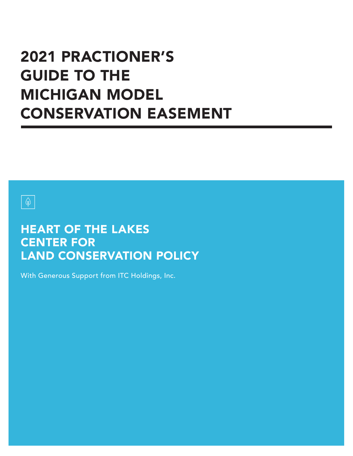# 2021 PRACTIONER'S GUIDE TO THE MICHIGAN MODEL CONSERVATION EASEMENT

## $\boxed{\bigoplus}$

## HEART OF THE LAKES CENTER FOR LAND CONSERVATION POLICY

With Generous Support from ITC Holdings, Inc.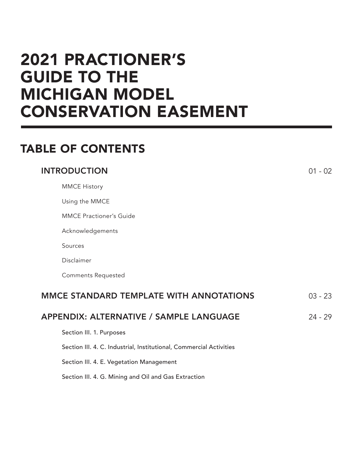# 2021 PRACTIONER'S GUIDE TO THE MICHIGAN MODEL CONSERVATION EASEMENT

# TABLE OF CONTENTS

### INTRODUCTION

|                                                      | <b>MMCE History</b>            |           |
|------------------------------------------------------|--------------------------------|-----------|
|                                                      | Using the MMCE                 |           |
|                                                      | <b>MMCE Practioner's Guide</b> |           |
|                                                      | Acknowledgements               |           |
|                                                      | Sources                        |           |
|                                                      | Disclaimer                     |           |
|                                                      | <b>Comments Requested</b>      |           |
| MMCE STANDARD TEMPLATE WITH ANNOTATIONS              |                                | $03 - 23$ |
| APPENDIX: ALTERNATIVE / SAMPLE LANGUAGE<br>$24 - 29$ |                                |           |
|                                                      | Section III. 1. Purposes       |           |

01 - 02

Section III. 4. C. Industrial, Institutional, Commercial Activities

Section III. 4. E. Vegetation Management

Section III. 4. G. Mining and Oil and Gas Extraction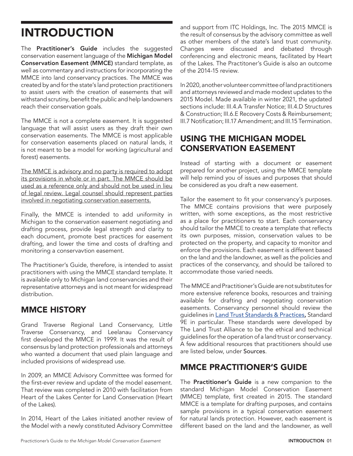# INTRODUCTION

The **Practitioner's Guide** includes the suggested conservation easement language of the Michigan Model Conservation Easement (MMCE) standard template, as well as commentary and instructions for incorporating the MMCE into land conservancy practices. The MMCE was created by and for the state's land protection practitioners to assist users with the creation of easements that will withstand scrutiny, benefit the public and help landowners reach their conservation goals.

The MMCE is not a complete easement. It is suggested language that will assist users as they draft their own conservation easements. The MMCE is most applicable for conservation easements placed on natural lands, it is not meant to be a model for working (agricultural and forest) easements.

The MMCE is advisory and no party is required to adopt its provisions in whole or in part. The MMCE should be used as a reference only and should not be used in lieu of legal review. Legal counsel should represent parties involved in negotiating conservation easements.

Finally, the MMCE is intended to add uniformity in Michigan to the conservation easement negotiating and drafting process, provide legal strength and clarity to each document, promote best practices for easement drafting, and lower the time and costs of drafting and monitoring a conservavtion easement.

The Practitioner's Guide, therefore, is intended to assist practitioners with using the MMCE standard template. It is available only to Michigan land conservancies and their representative attorneys and is not meant for widespread distribution.

## MMCE HISTORY

Grand Traverse Regional Land Conservancy, Little Traverse Conservancy, and Leelanau Conservancy first developed the MMCE in 1999. It was the result of consensus by land protection professionals and attorneys who wanted a document that used plain language and included provisions of widespread use.

In 2009, an MMCE Advisory Committee was formed for the first-ever review and update of the model easement. That review was completed in 2010 with facilitation from Heart of the Lakes Center for Land Conservation (Heart of the Lakes).

In 2014, Heart of the Lakes initiated another review of the Model with a newly constituted Advisory Committee and support from ITC Holdings, Inc. The 2015 MMCE is the result of consensus by the advisory committee as well as other members of the state's land trust community. Changes were discussed and debated through conferencing and electronic means, facilitated by Heart of the Lakes. The Practitoner's Guide is also an outcome of the 2014-15 review.

In 2020, another volunteer committee of land practitioners and attorneys reviewed and made modest updates to the 2015 Model. Made available in winter 2021, the updated sections include: III.4.A Transfer Notice; III.4.D Structures & Construction; III.6.E Recovery Costs & Reimbursement; III.7 Notification; III.17 Amendment; and III.15 Termination.

### USING THE MICHIGAN MODEL CONSERVATION EASEMENT

Instead of starting with a document or easement prepared for another project, using the MMCE template will help remind you of issues and purposes that should be considered as you draft a new easement.

Tailor the easement to fit your conservancy's purposes. The MMCE contains provisions that were purposely written, with some exceptions, as the most restrictive as a place for practitioners to start. Each conservancy should tailor the MMCE to create a template that reflects its own purposes, mission, conservation values to be protected on the property, and capacity to monitor and enforce the provisions. Each easement is different based on the land and the landowner, as well as the policies and practices of the conservancy, and should be tailored to accommodate those varied needs.

The MMCE and Practitioner's Guide are not substitutes for more extensive reference books, resources and training available for drafting and negotiating conservation easements. Conservancy personnel should review the guidelines in [Land Trust Standards & Practices](http://www.landtrustalliance.org/topics/standards-and-practices), Standard 9E in particular. These standards were developed by The Land Trust Alliance to be the ethical and technical guidelines for the operation of a land trust or conservancy. A few additional resources that practitioners should use are listed below, under Sources.

## MMCE PRACTITIONER'S GUIDE

The Practitioner's Guide is a new companion to the standard Michigan Model Conservation Easement (MMCE) template, first created in 2015. The standard MMCE is a template for drafting purposes, and contains sample provisions in a typical conservation easement for natural lands protection. However, each easement is different based on the land and the landowner, as well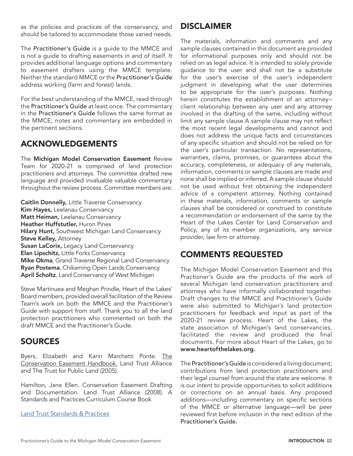as the policies and practices of the conservancy, and should be tailored to accommodate those varied needs.

The Practitioner's Guide is a guide to the MMCE and is not a guide to drafting easements in and of itself. It provides additional language options and commentary to easement drafters using the MMCE template. Neither the standard MMCE or the Practitioner's Guide address working (farm and forest) lands.

For the best understanding of the MMCE, read through the Practitioner's Guide at least once. The commentary in the Practitioner's Guide follows the same format as the MMCE; notes and commentary are embedded in the pertinent sections.

### ACKNOWLEDGEMENTS

The Michigan Model Conservation Easement Review Team for 2020-21 is comprised of land protection practitioners and attorneys. The committee drafted new language and provided invaluable valuable commentary throughout the review process. Committee members are:

Caitlin Donnelly, Little Traverse Conservancy Kim Hayes, Leelanau Conservancy Matt Heiman, Leelanau Conservancy Heather Huffstutler, Huron Pines Hilary Hunt, Southwest Michigan Land Conservancy **Steve Kelley, Attorney** Susan LaCorix, Legacy Land Conservancy **Elan Lipschitz, Little Forks Conservancy** Mike Okma, Grand Traverse Regional Land Conservancy Ryan Postema, Chikaming Open Lands Conservancy April Scholtz, Land Conservancy of West Michigan

Steve Martinuea and Meghan Prindle, Heart of the Lakes' Board members, provided overall facilitation of the Review Team's work on both the MMCE and the Practitioner's Guide with support from staff. Thank you to all the land protection practitioners who commented on both the draft MMCE and the Practitioner's Guide.

### SOURCES

Byers, Elizabeth and Karin Marchetti Ponte. The Conservation Easement Handbook. Land Trust Alliance and The Trust for Public Land (2005).

Hamilton, Jane Ellen. Conservation Easement Drafting and Documentation. Land Trust Alliance (2008). A Standards and Practices Curriculum Course Book

[Land Trust Standards & Practices](http://www.landtrustalliance.org/learning/sp/land-trust-standards-and-practices)

## DISCLAIMER

The materials, information and comments and any sample clauses contained in this document are provided for informational purposes only and should not be relied on as legal advice. It is intended to solely provide guidance to the user and shall not be a substitute for the user's exercise of the user's independent judgment in developing what the user determines to be appropriate for the user's purposes. Nothing herein constitutes the establishment of an attorney– client relationship between any user and any attorney involved in the drafting of the same, including without limit any sample clause A sample clause may not reflect the most recent legal developments and cannot and does not address the unique facts and circumstances of any specific situation and should not be relied on for the user's particular transaction. No representations, warranties, claims, promises, or guarantees about the accuracy, completeness, or adequacy of any materials, information, comments or sample clauses are made and none shall be implied or inferred. A sample clause should not be used without first obtaining the independent advice of a competent attorney. Nothing contained in these materials, information, comments or sample clauses shall be considered or construed to constitute a recommendation or endorsement of the same by the Heart of the Lakes Center for Land Conservation and Policy, any of its member organizations, any service provider, law firm or attorney.

## COMMENTS REQUESTED

The Michigan Model Conservation Easement and this Practioner's Guide are the products of the work of several Michigan land conservation practitioners and attorneys who have informally collaborated together. Draft changes to the MMCE and Practitioner's Guide were also submitted to Michigan's land protection practitioners for feedback and input as part of the 2020-21 review process. Heart of the Lakes, the state association of Michigan's land conservancies, facilitated the review and produced the final documents. For more about Heart of the Lakes, go to www.heartofthelakes.org.

The Practitioner's Guide is considered a living document; contributions from land protection practitioners and their legal counsel from around the state are welcome. It is our intent to provide opportunities to solicit additions or corrections on an annual basis. Any proposed additions—including commentary on specific sections of the MMCE or alternative language—will be peer reviewed first before inclusion in the next edition of the Practitioner's Guide.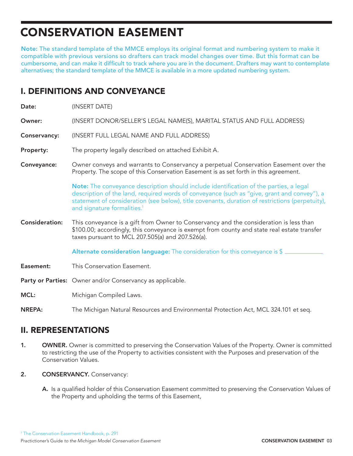## CONSERVATION EASEMENT

Note: The standard template of the MMCE employs its original format and numbering system to make it compatible with previous versions so drafters can track model changes over time. But this format can be cumbersome, and can make it difficult to track where you are in the document. Drafters may want to contemplate alternatives; the standard template of the MMCE is available in a more updated numbering system.

## I. DEFINITIONS AND CONVEYANCE

Date: (INSERT DATE) Owner: (INSERT DONOR/SELLER'S LEGAL NAME(S), MARITAL STATUS AND FULL ADDRESS) Conservancy: (INSERT FULL LEGAL NAME AND FULL ADDRESS) **Property:** The property legally described on attached Exhibit A. Conveyance: Owner conveys and warrants to Conservancy a perpetual Conservation Easement over the Property. The scope of this Conservation Easement is as set forth in this agreement. Note: The conveyance description should include identification of the parties, a legal description of the land, required words of conveyance (such as "give, grant and convey"), a statement of consideration (see below), title covenants, duration of restrictions (perpetuity), and signature formalities.1 Consideration: This conveyance is a gift from Owner to Conservancy and the consideration is less than \$100.00; accordingly, this conveyance is exempt from county and state real estate transfer taxes pursuant to MCL 207.505(a) and 207.526(a). Alternate consideration language: The consideration for this conveyance is  $\frac{1}{2}$ Easement: This Conservation Easement. **Party or Parties:** Owner and/or Conservancy as applicable. MCL: Michigan Compiled Laws. NREPA: The Michigan Natural Resources and Environmental Protection Act, MCL 324.101 et seq.

### II. REPRESENTATIONS

- 1. **OWNER.** Owner is committed to preserving the Conservation Values of the Property. Owner is committed to restricting the use of the Property to activities consistent with the Purposes and preservation of the Conservation Values.
- 2. **CONSERVANCY.** Conservancy:
	- A. Is a qualified holder of this Conservation Easement committed to preserving the Conservation Values of the Property and upholding the terms of this Easement,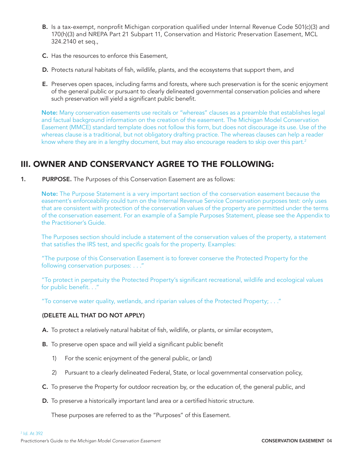- **B.** Is a tax-exempt, nonprofit Michigan corporation qualified under Internal Revenue Code 501(c)(3) and 170(h)(3) and NREPA Part 21 Subpart 11, Conservation and Historic Preservation Easement, MCL 324.2140 et seq.,
- C. Has the resources to enforce this Easement,
- D. Protects natural habitats of fish, wildlife, plants, and the ecosystems that support them, and
- E. Preserves open spaces, including farms and forests, where such preservation is for the scenic enjoyment of the general public or pursuant to clearly delineated governmental conservation policies and where such preservation will yield a significant public benefit.

Note: Many conservation easements use recitals or "whereas" clauses as a preamble that establishes legal and factual background information on the creation of the easement. The Michigan Model Conservation Easement (MMCE) standard template does not follow this form, but does not discourage its use. Use of the whereas clause is a traditional, but not obligatory drafting practice. The whereas clauses can help a reader know where they are in a lengthy document, but may also encourage readers to skip over this part.<sup>2</sup>

## III. OWNER AND CONSERVANCY AGREE TO THE FOLLOWING:

**1.** PURPOSE. The Purposes of this Conservation Easement are as follows:

Note: The Purpose Statement is a very important section of the conservation easement because the easement's enforceability could turn on the Internal Revenue Service Conservation purposes test: only uses that are consistent with protection of the conservation values of the property are permitted under the terms of the conservation easement. For an example of a Sample Purposes Statement, please see the Appendix to the Practitioner's Guide.

The Purposes section should include a statement of the conservation values of the property, a statement that satisfies the IRS test, and specific goals for the property. Examples:

"The purpose of this Conservation Easement is to forever conserve the Protected Property for the following conservation purposes: . . ."

"To protect in perpetuity the Protected Property's significant recreational, wildlife and ecological values for public benefit. . ."

"To conserve water quality, wetlands, and riparian values of the Protected Property; . . ."

#### (DELETE ALL THAT DO NOT APPLY)

- A. To protect a relatively natural habitat of fish, wildlife, or plants, or similar ecosystem,
- **B.** To preserve open space and will yield a significant public benefit
	- 1) For the scenic enjoyment of the general public, or (and)
	- 2) Pursuant to a clearly delineated Federal, State, or local governmental conservation policy,
- C. To preserve the Property for outdoor recreation by, or the education of, the general public, and
- D. To preserve a historically important land area or a certified historic structure.

These purposes are referred to as the "Purposes" of this Easement.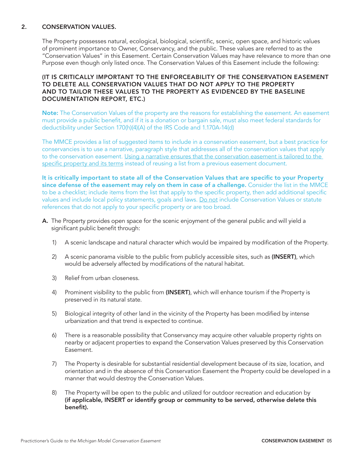#### 2. CONSERVATION VALUES.

The Property possesses natural, ecological, biological, scientific, scenic, open space, and historic values of prominent importance to Owner, Conservancy, and the public. These values are referred to as the "Conservation Values" in this Easement. Certain Conservation Values may have relevance to more than one Purpose even though only listed once. The Conservation Values of this Easement include the following:

#### (IT IS CRITICALLY IMPORTANT TO THE ENFORCEABILITY OF THE CONSERVATION EASEMENT TO DELETE ALL CONSERVATION VALUES THAT DO NOT APPLY TO THE PROPERTY AND TO TAILOR THESE VALUES TO THE PROPERTY AS EVIDENCED BY THE BASELINE DOCUMENTATION REPORT, ETC.)

Note: The Conservation Values of the property are the reasons for establishing the easement. An easement must provide a public benefit, and if it is a donation or bargain sale, must also meet federal standards for deductibility under Section 170(h)(4)(A) of the IRS Code and 1.170A-14(d)

The MMCE provides a list of suggested items to include in a conservation easement, but a best practice for conservancies is to use a narrative, paragraph style that addresses all of the conservation values that apply to the conservation easement. Using a narrative ensures that the conservation easement is tailored to the specific property and its terms instead of reusing a list from a previous easement document.

 It is critically important to state all of the Conservation Values that are specific to your Property since defense of the easement may rely on them in case of a challenge. Consider the list in the MMCE to be a checklist; include items from the list that apply to the specific property, then add additional specific values and include local policy statements, goals and laws. Do not include Conservation Values or statute references that do not apply to your specific property or are too broad.

- A. The Property provides open space for the scenic enjoyment of the general public and will yield a significant public benefit through:
	- 1) A scenic landscape and natural character which would be impaired by modification of the Property.
	- 2) A scenic panorama visible to the public from publicly accessible sites, such as (INSERT), which would be adversely affected by modifications of the natural habitat.
	- 3) Relief from urban closeness.
	- 4) Prominent visibility to the public from (INSERT), which will enhance tourism if the Property is preserved in its natural state.
	- 5) Biological integrity of other land in the vicinity of the Property has been modified by intense urbanization and that trend is expected to continue.
	- 6) There is a reasonable possibility that Conservancy may acquire other valuable property rights on nearby or adjacent properties to expand the Conservation Values preserved by this Conservation Easement.
	- 7) The Property is desirable for substantial residential development because of its size, location, and orientation and in the absence of this Conservation Easement the Property could be developed in a manner that would destroy the Conservation Values.
	- 8) The Property will be open to the public and utilized for outdoor recreation and education by (if applicable, INSERT or identify group or community to be served, otherwise delete this benefit).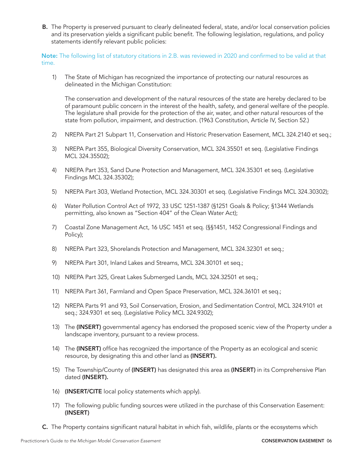**B.** The Property is preserved pursuant to clearly delineated federal, state, and/or local conservation policies and its preservation yields a significant public benefit. The following legislation, regulations, and policy statements identify relevant public policies:

Note: The following list of statutory citations in 2.B. was reviewed in 2020 and confirmed to be valid at that time.

1) The State of Michigan has recognized the importance of protecting our natural resources as delineated in the Michigan Constitution:

The conservation and development of the natural resources of the state are hereby declared to be of paramount public concern in the interest of the health, safety, and general welfare of the people. The legislature shall provide for the protection of the air, water, and other natural resources of the state from pollution, impairment, and destruction. (1963 Constitution, Article IV, Section 52.)

- 2) NREPA Part 21 Subpart 11, Conservation and Historic Preservation Easement, MCL 324.2140 et seq.;
- 3) NREPA Part 355, Biological Diversity Conservation, MCL 324.35501 et seq. (Legislative Findings MCL 324.35502);
- 4) NREPA Part 353, Sand Dune Protection and Management, MCL 324.35301 et seq. (Legislative Findings MCL 324.35302);
- 5) NREPA Part 303, Wetland Protection, MCL 324.30301 et seq. (Legislative Findings MCL 324.30302);
- 6) Water Pollution Control Act of 1972, 33 USC 1251-1387 (§1251 Goals & Policy; §1344 Wetlands permitting, also known as "Section 404" of the Clean Water Act);
- 7) Coastal Zone Management Act, 16 USC 1451 et seq. (§§1451, 1452 Congressional Findings and Policy);
- 8) NREPA Part 323, Shorelands Protection and Management, MCL 324.32301 et seq.;
- 9) NREPA Part 301, Inland Lakes and Streams, MCL 324.30101 et seq.;
- 10) NREPA Part 325, Great Lakes Submerged Lands, MCL 324.32501 et seq.;
- 11) NREPA Part 361, Farmland and Open Space Preservation, MCL 324.36101 et seq.;
- 12) NREPA Parts 91 and 93, Soil Conservation, Erosion, and Sedimentation Control, MCL 324.9101 et seq.; 324.9301 et seq. (Legislative Policy MCL 324.9302);
- 13) The (INSERT) governmental agency has endorsed the proposed scenic view of the Property under a landscape inventory, pursuant to a review process.
- 14) The (INSERT) office has recognized the importance of the Property as an ecological and scenic resource, by designating this and other land as (INSERT).
- 15) The Township/County of (INSERT) has designated this area as (INSERT) in its Comprehensive Plan dated (INSERT).
- 16) (INSERT/CITE local policy statements which apply).
- 17) The following public funding sources were utilized in the purchase of this Conservation Easement: (INSERT)
- C. The Property contains significant natural habitat in which fish, wildlife, plants or the ecosystems which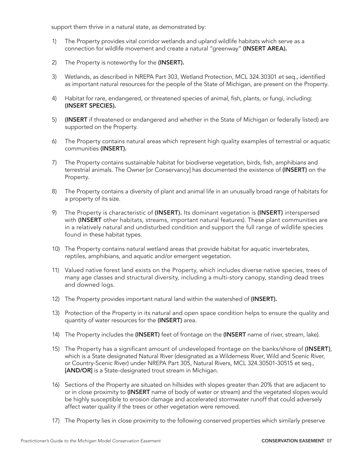support them thrive in a natural state, as demonstrated by:

- 1) The Property provides vital corridor wetlands and upland wildlife habitats which serve as a connection for wildlife movement and create a natural "greenway" (INSERT AREA).
- 2) The Property is noteworthy for the (INSERT).
- 3) Wetlands, as described in NREPA Part 303, Wetland Protection, MCL 324.30301 et seq., identified as important natural resources for the people of the State of Michigan, are present on the Property.
- 4) Habitat for rare, endangered, or threatened species of animal, fish, plants, or fungi, including: (INSERT SPECIES).
- 5) (INSERT if threatened or endangered and whether in the State of Michigan or federally listed) are supported on the Property.
- 6) The Property contains natural areas which represent high quality examples of terrestrial or aquatic communities (INSERT).
- 7) The Property contains sustainable habitat for biodiverse vegetation, birds, fish, amphibians and terrestrial animals. The Owner [or Conservancy] has documented the existence of (INSERT) on the Property.
- 8) The Property contains a diversity of plant and animal life in an unusually broad range of habitats for a property of its size.
- 9) The Property is characteristic of (INSERT). Its dominant vegetation is (INSERT) interspersed with (INSERT other habitats, streams, important natural features). These plant communities are in a relatively natural and undisturbed condition and support the full range of wildlife species found in these habitat types.
- 10) The Property contains natural wetland areas that provide habitat for aquatic invertebrates, reptiles, amphibians, and aquatic and/or emergent vegetation.
- 11) Valued native forest land exists on the Property, which includes diverse native species, trees of many age classes and structural diversity, including a multi-story canopy, standing dead trees and downed logs.
- 12) The Property provides important natural land within the watershed of (INSERT).
- 13) Protection of the Property in its natural and open space condition helps to ensure the quality and quantity of water resources for the (INSERT) area.
- 14) The Property includes the (INSERT) feet of frontage on the (INSERT name of river, stream, lake).
- 15) The Property has a significant amount of undeveloped frontage on the banks/shore of (INSERT), which is a State designated Natural River (designated as a Wilderness River, Wild and Scenic River, or Country-Scenic River) under NREPA Part 305, Natural Rivers, MCL 324.30501-30515 et seq., [AND/OR] is a State-designated trout stream in Michigan.
- 16) Sections of the Property are situated on hillsides with slopes greater than 20% that are adjacent to or in close proximity to (INSERT name of body of water or stream) and the vegetated slopes would be highly susceptible to erosion damage and accelerated stormwater runoff that could adversely affect water quality if the trees or other vegetation were removed.
- 17) The Property lies in close proximity to the following conserved properties which similarly preserve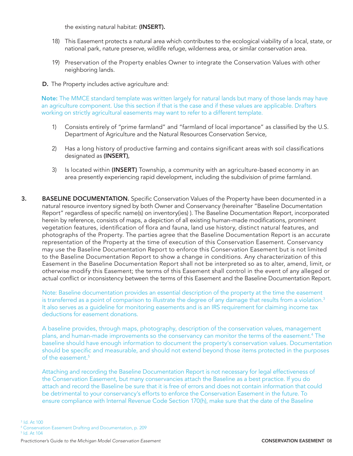the existing natural habitat: (INSERT).

- 18) This Easement protects a natural area which contributes to the ecological viability of a local, state, or national park, nature preserve, wildlife refuge, wilderness area, or similar conservation area.
- 19) Preservation of the Property enables Owner to integrate the Conservation Values with other neighboring lands.
- D. The Property includes active agriculture and:

Note: The MMCE standard template was written largely for natural lands but many of those lands may have an agriculture component. Use this section if that is the case and if these values are applicable. Drafters working on strictly agricultural easements may want to refer to a different template.

- 1) Consists entirely of "prime farmland" and "farmland of local importance" as classified by the U.S. Department of Agriculture and the Natural Resources Conservation Service,
- 2) Has a long history of productive farming and contains significant areas with soil classifications designated as (INSERT),
- 3) Is located within (INSERT) Township, a community with an agriculture-based economy in an area presently experiencing rapid development, including the subdivision of prime farmland.
- **3.** BASELINE DOCUMENTATION. Specific Conservation Values of the Property have been documented in a natural resource inventory signed by both Owner and Conservancy (hereinafter "Baseline Documentation Report" regardless of specific name(s) on inventory(ies) ). The Baseline Documentation Report, incorporated herein by reference, consists of maps, a depiction of all existing human-made modifications, prominent vegetation features, identification of flora and fauna, land use history, distinct natural features, and photographs of the Property. The parties agree that the Baseline Documentation Report is an accurate representation of the Property at the time of execution of this Conservation Easement. Conservancy may use the Baseline Documentation Report to enforce this Conservation Easement but is not limited to the Baseline Documentation Report to show a change in conditions. Any characterization of this Easement in the Baseline Documentation Report shall not be interpreted so as to alter, amend, limit, or otherwise modify this Easement; the terms of this Easement shall control in the event of any alleged or actual conflict or inconsistency between the terms of this Easement and the Baseline Documentation Report.

Note: Baseline documentation provides an essential description of the property at the time the easement is transferred as a point of comparison to illustrate the degree of any damage that results from a violation. $3$ It also serves as a guideline for monitoring easements and is an IRS requirement for claiming income tax deductions for easement donations.

A baseline provides, through maps, photography, description of the conservation values, management plans, and human-made improvements so the conservancy can monitor the terms of the easement.<sup>4</sup> The baseline should have enough information to document the property's conservation values. Documentation should be specific and measurable, and should not extend beyond those items protected in the purposes of the easement.<sup>5</sup>

Attaching and recording the Baseline Documentation Report is not necessary for legal effectiveness of the Conservation Easement, but many conservancies attach the Baseline as a best practice. If you do attach and record the Baseline be sure that it is free of errors and does not contain information that could be detrimental to your conservancy's efforts to enforce the Conservation Easement in the future. To ensure compliance with Internal Revenue Code Section 170(h), make sure that the date of the Baseline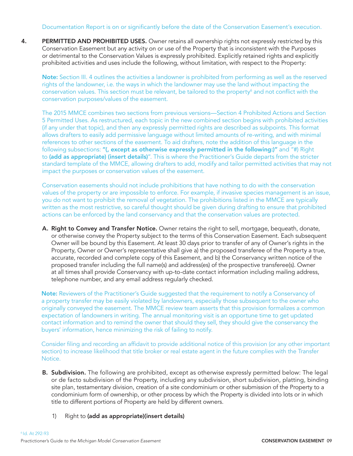#### Documentation Report is on or significantly before the date of the Conservation Easement's execution.

4. PERMITTED AND PROHIBITED USES. Owner retains all ownership rights not expressly restricted by this Conservation Easement but any activity on or use of the Property that is inconsistent with the Purposes or detrimental to the Conservation Values is expressly prohibited. Explicitly retained rights and explicitly prohibited activities and uses include the following, without limitation, with respect to the Property:

Note: Section III. 4 outlines the activities a landowner is prohibited from performing as well as the reserved rights of the landowner, i.e. the ways in which the landowner may use the land without impacting the conservation values. This section must be relevant, be tailored to the property $\delta$  and not conflict with the conservation purposes/values of the easement.

The 2015 MMCE combines two sections from previous versions—Section 4 Prohibited Actions and Section 5 Permitted Uses. As restructured, each topic in the new combined section begins with prohibited activities (if any under that topic), and then any expressly permitted rights are described as subpoints. This format allows drafters to easily add permissive language without limited amounts of re-writing, and with minimal references to other sections of the easement. To aid drafters, note the addition of this language in the following subsections: "(, except as otherwise expressly permitted in the following:)" and "#) Right to (add as appropriate) (insert details)". This is where the Practitioner's Guide departs from the stricter standard template of the MMCE, allowing drafters to add, modify and tailor permitted activities that may not impact the purposes or conservation values of the easement.

Conservation easements should not include prohibitions that have nothing to do with the conservation values of the property or are impossible to enforce. For example, if invasive species management is an issue, you do not want to prohibit the removal of vegetation. The prohibitions listed in the MMCE are typically written as the most restrictive, so careful thought should be given during drafting to ensure that prohibited actions can be enforced by the land conservancy and that the conservation values are protected.

A. Right to Convey and Transfer Notice. Owner retains the right to sell, mortgage, bequeath, donate, or otherwise convey the Property subject to the terms of this Conservation Easement. Each subsequent Owner will be bound by this Easement. At least 30 days prior to transfer of any of Owner's rights in the Property, Owner or Owner's representative shall give a) the proposed transferee of the Property a true, accurate, recorded and complete copy of this Easement, and b) the Conservancy written notice of the proposed transfer including the full name(s) and address(es) of the prospective transferee(s). Owner at all times shall provide Conservancy with up-to-date contact information including mailing address, telephone number, and any email address regularly checked.

Note: Reviewers of the Practitioner's Guide suggested that the requirement to notify a Conservancy of a property transfer may be easily violated by landowners, especially those subsequent to the owner who originally conveyed the easement. The MMCE review team asserts that this provision formalizes a common expectation of landowners in writing. The annual monitoring visit is an opportune time to get updated contact information and to remind the owner that should they sell, they should give the conservancy the buyers' information, hence minimizing the risk of failing to notify.

Consider filing and recording an affidavit to provide additional notice of this provision (or any other important section) to increase likelihood that title broker or real estate agent in the future complies with the Transfer Notice.

- **B. Subdivision.** The following are prohibited, except as otherwise expressly permitted below: The legal or de facto subdivision of the Property, including any subdivision, short subdivision, platting, binding site plan, testamentary division, creation of a site condominium or other submission of the Property to a condominium form of ownership, or other process by which the Property is divided into lots or in which title to different portions of Property are held by different owners.
	- 1) Right to (add as appropriate)(insert details)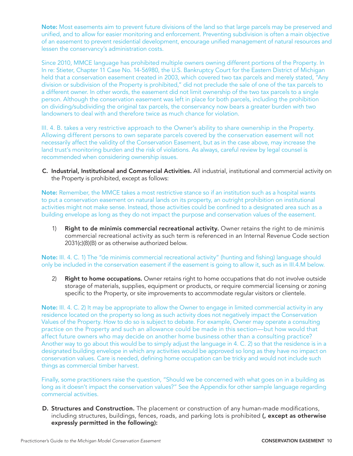Note: Most easements aim to prevent future divisions of the land so that large parcels may be preserved and unified, and to allow for easier monitoring and enforcement. Preventing subdivision is often a main objective of an easement to prevent residential development, encourage unified management of natural resources and lessen the conservancy's administration costs.

Since 2010, MMCE language has prohibited multiple owners owning different portions of the Property. In In re: Stieter, Chapter 11 Case No. 14-56980, the U.S. Bankruptcy Court for the Eastern District of Michigan held that a conservation easement created in 2003, which covered two tax parcels and merely stated, "Any division or subdivision of the Property is prohibited," did not preclude the sale of one of the tax parcels to a different owner. In other words, the easement did not limit ownership of the two tax parcels to a single person. Although the conservation easement was left in place for both parcels, including the prohibition on dividing/subdividing the original tax parcels, the conservancy now bears a greater burden with two landowners to deal with and therefore twice as much chance for violation.

III. 4. B. takes a very restrictive approach to the Owner's ability to share ownership in the Property. Allowing different persons to own separate parcels covered by the conservation easement will not necessarily affect the validity of the Conservation Easement, but as in the case above, may increase the land trust's monitoring burden and the risk of violations. As always, careful review by legal counsel is recommended when considering ownership issues.

C. Industrial, Institutional and Commercial Activities. All industrial, institutional and commercial activity on the Property is prohibited, except as follows:

Note: Remember, the MMCE takes a most restrictive stance so if an institution such as a hospital wants to put a conservation easement on natural lands on its property, an outright prohibition on institutional activities might not make sense. Instead, those activities could be confined to a designated area such as a building envelope as long as they do not impact the purpose and conservation values of the easement.

1) Right to de minimis commercial recreational activity. Owner retains the right to de minimis commercial recreational activity as such term is referenced in an Internal Revenue Code section 2031(c)(8)(B) or as otherwise authorized below.

Note: III. 4. C. 1) The "de minimis commercial recreational activity" (hunting and fishing) language should only be included in the conservation easement if the easement is going to allow it, such as in III.4.M below.

2) Right to home occupations. Owner retains right to home occupations that do not involve outside storage of materials, supplies, equipment or products, or require commercial licensing or zoning specific to the Property, or site improvements to accommodate regular visitors or clientele.

Note: III. 4. C. 2) It may be appropriate to allow the Owner to engage in limited commercial activity in any residence located on the property so long as such activity does not negatively impact the Conservation Values of the Property. How to do so is subject to debate. For example, Owner may operate a consulting practice on the Property and such an allowance could be made in this section—but how would that affect future owners who may decide on another home business other than a consulting practice? Another way to go about this would be to simply adjust the language in 4. C. 2) so that the residence is in a designated building envelope in which any activities would be approved so long as they have no impact on conservation values. Care is needed, defining home occupation can be tricky and would not include such things as commercial timber harvest.

Finally, some practitioners raise the question, "Should we be concerned with what goes on in a building as long as it doesn't impact the conservation values?" See the Appendix for other sample language regarding commercial activities.

D. Structures and Construction. The placement or construction of any human-made modifications, including structures, buildings, fences, roads, and parking lots is prohibited (, except as otherwise expressly permitted in the following):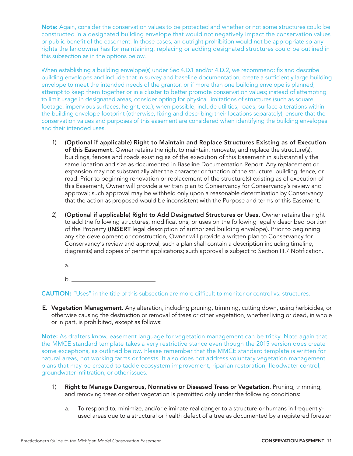Note: Again, consider the conservation values to be protected and whether or not some structures could be constructed in a designated building envelope that would not negatively impact the conservation values or public benefit of the easement. In those cases, an outright prohibition would not be appropriate so any rights the landowner has for maintaining, replacing or adding designated structures could be outlined in this subsection as in the options below.

When establishing a building envelope(s) under Sec 4.D.1 and/or 4.D.2, we recommend: fix and describe building envelopes and include that in survey and baseline documentation; create a sufficiently large building envelope to meet the intended needs of the grantor, or if more than one building envelope is planned, attempt to keep them together or in a cluster to better promote conservation values; instead of attempting to limit usage in designated areas, consider opting for physical limitations of structures (such as square footage, impervious surfaces, height, etc.); when possible, include utilities, roads, surface alterations within the building envelope footprint (otherwise, fixing and describing their locations separately); ensure that the conservation values and purposes of this easement are considered when identifying the building envelopes and their intended uses.

- 1) (Optional if applicable) Right to Maintain and Replace Structures Existing as of Execution of this Easement. Owner retains the right to maintain, renovate, and replace the structure(s), buildings, fences and roads existing as of the execution of this Easement in substantially the same location and size as documented in Baseline Documentation Report. Any replacement or expansion may not substantially alter the character or function of the structure, building, fence, or road. Prior to beginning renovation or replacement of the structure(s) existing as of execution of this Easement, Owner will provide a written plan to Conservancy for Conservancy's review and approval; such approval may be withheld only upon a reasonable determination by Conservancy that the action as proposed would be inconsistent with the Purpose and terms of this Easement.
- 2) **(Optional if applicable) Right to Add Designated Structures or Uses.** Owner retains the right to add the following structures, modifications, or uses on the following legally described portion of the Property (INSERT legal description of authorized building envelope). Prior to beginning any site development or construction, Owner will provide a written plan to Conservancy for Conservancy's review and approval; such a plan shall contain a description including timeline, diagram(s) and copies of permit applications; such approval is subject to Section III.7 Notification.
	- a.
	- b.

CAUTION: "Uses" in the title of this subsection are more difficult to monitor or control vs. structures.

E. Vegetation Management. Any alteration, including pruning, trimming, cutting down, using herbicides, or otherwise causing the destruction or removal of trees or other vegetation, whether living or dead, in whole or in part, is prohibited, except as follows:

Note: As drafters know, easement language for vegetation management can be tricky. Note again that the MMCE standard template takes a very restrictive stance even though the 2015 version does create some exceptions, as outlined below. Please remember that the MMCE standard template is written for natural areas, not working farms or forests. It also does not address voluntary vegetation management plans that may be created to tackle ecosystem improvement, riparian restoration, floodwater control, groundwater infiltration, or other issues.

- 1) Right to Manage Dangerous, Nonnative or Diseased Trees or Vegetation. Pruning, trimming, and removing trees or other vegetation is permitted only under the following conditions:
	- a. To respond to, minimize, and/or eliminate real danger to a structure or humans in frequentlyused areas due to a structural or health defect of a tree as documented by a registered forester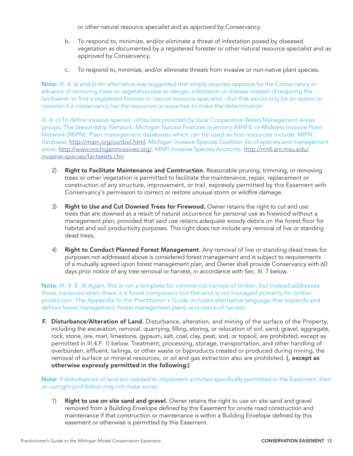or other natural resource specialist and as approved by Conservancy.

- b. To respond to, minimize, and/or eliminate a threat of infestation posed by diseased vegetation as documented by a registered forester or other natural resource specialist and as approved by Conservancy.
- c. To respond to, minimize, and/or eliminate threats from invasive or non-native plant species.

Note: III. 4. a) and b) An alternative was suggested that simply requires approval by the Conservancy in advance of removing trees or vegetation due to danger, infestation or disease instead of requiring the landowner to find a registered forester or natural resource specialist—but that would only be an option to consider if a conservancy has the resources or expertise to make the determination.

III. 4. c) To define invasive species, utilize lists provided by local Cooperative Weed Management Areas groups, The Stewardship Network, Michigan Natural Features Inventory (MNFI), or Midwest Invasive Plant Network (MIPN). Plant management databases which can be used as first resources include: MIPN database, <http://mipn.org/control.html>; Michigan Invasive Species Coalition list of species and management areas, <http://www.michiganinvasives.org/>; MNFI Invasive Species Accounts, [http://mnfi.anr.msu.edu/](http://mnfi.anr.msu.edu/invasive-species/factseets.cfm) [invasive-species/factseets.cfm](http://mnfi.anr.msu.edu/invasive-species/factseets.cfm)

- 2) Right to Facilitate Maintenance and Construction. Reasonable pruning, trimming, or removing trees or other vegetation is permitted to facilitate the maintenance, repair, replacement or construction of any structure, improvement, or trail, expressly permitted by this Easement with Conservancy's permission to correct or restore unusual storm or wildfire damage.
- 3) Right to Use and Cut Downed Trees for Firewood. Owner retains the right to cut and use trees that are downed as a result of natural occurrence for personal use as firewood without a management plan, provided that said use retains adequate woody debris on the forest floor for habitat and soil productivity purposes. This right does not include any removal of live or standing dead trees.
- 4) Right to Conduct Planned Forest Management. Any removal of live or standing dead trees for purposes not addressed above is considered forest management and is subject to requirements of a mutually agreed upon forest management plan, and Owner shall provide Conservancy with 60 days prior notice of any tree removal or harvest, in accordance with Sec. III. 7 below.

Note: III. 4. E. 4) Again, this is not a template for commercial harvest of timber, but instead addresses those instances when there is a forest component but the land is not managed primarily for timber production. The Appendix to the Practitioner's Guide includes alternative language that expands and defines forest management, forest management plans, and notice of harvest.

F. Disturbance/Alteration of Land. Disturbance, alteration, and mining of the surface of the Property, including the excavation, removal, quarrying, filling, storing, or relocation of soil, sand, gravel, aggregate, rock, stone, ore, marl, limestone, gypsum, salt, coal, clay, peat, sod, or topsoil, are prohibited, except as permitted in III.4.F. 1) below. Treatment, processing, storage, transportation, and other handling of overburden, effluent, tailings, or other waste or byproducts created or produced during mining, the removal of surface or mineral resources, or oil and gas extraction also are prohibited. (, except as otherwise expressly permitted in the following:)

Note: If disturbances of land are needed to implement activities specifically permitted in the Easement, then an outright prohibition may not make sense.

1) Right to use on site sand and gravel. Owner retains the right to use on site sand and gravel removed from a Building Envelope defined by this Easement for onsite road construction and maintenance if that construction or maintenance is within a Building Envelope defined by this easement or otherwise is permitted by this Easement.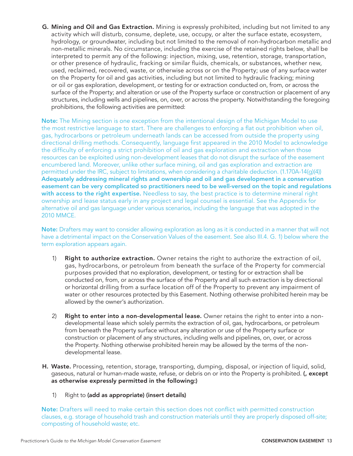G. Mining and Oil and Gas Extraction. Mining is expressly prohibited, including but not limited to any activity which will disturb, consume, deplete, use, occupy, or alter the surface estate, ecosystem, hydrology, or groundwater, including but not limited to the removal of non-hydrocarbon metallic and non-metallic minerals. No circumstance, including the exercise of the retained rights below, shall be interpreted to permit any of the following: injection, mixing, use, retention, storage, transportation, or other presence of hydraulic, fracking or similar fluids, chemicals, or substances, whether new, used, reclaimed, recovered, waste, or otherwise across or on the Property; use of any surface water on the Property for oil and gas activities, including but not limited to hydraulic fracking; mining or oil or gas exploration, development, or testing for or extraction conducted on, from, or across the surface of the Property; and alteration or use of the Property surface or construction or placement of any structures, including wells and pipelines, on, over, or across the property. Notwithstanding the foregoing prohibitions, the following activities are permitted:

Note: The Mining section is one exception from the intentional design of the Michigan Model to use the most restrictive language to start. There are challenges to enforcing a flat out prohibition when oil, gas, hydrocarbons or petroleum underneath lands can be accessed from outside the property using directional drilling methods. Consequently, language first appeared in the 2010 Model to acknowledge the difficulty of enforcing a strict prohibition of oil and gas exploration and extraction when those resources can be exploited using non-development leases that do not disrupt the surface of the easement encumbered land. Moreover, unlike other surface mining, oil and gas exploration and extraction are permitted under the IRC, subject to limitations, when considering a charitable deduction. (1.170A-14(g)(4)) Adequately addressing mineral rights and ownership and oil and gas development in a conservation easement can be very complicated so practitioners need to be well-versed on the topic and regulations with access to the right expertise. Needless to say, the best practice is to determine mineral right ownership and lease status early in any project and legal counsel is essential. See the Appendix for alternative oil and gas language under various scenarios, including the language that was adopted in the 2010 MMCE.

Note: Drafters may want to consider allowing exploration as long as it is conducted in a manner that will not have a detrimental impact on the Conservation Values of the easement. See also III.4. G. 1) below where the term exploration appears again.

- 1) Right to authorize extraction. Owner retains the right to authorize the extraction of oil, gas, hydrocarbons, or petroleum from beneath the surface of the Property for commercial purposes provided that no exploration, development, or testing for or extraction shall be conducted on, from, or across the surface of the Property and all such extraction is by directional or horizontal drilling from a surface location off of the Property to prevent any impairment of water or other resources protected by this Easement. Nothing otherwise prohibited herein may be allowed by the owner's authorization.
- 2) Right to enter into a non-developmental lease. Owner retains the right to enter into a nondevelopmental lease which solely permits the extraction of oil, gas, hydrocarbons, or petroleum from beneath the Property surface without any alteration or use of the Property surface or construction or placement of any structures, including wells and pipelines, on, over, or across the Property. Nothing otherwise prohibited herein may be allowed by the terms of the nondevelopmental lease.
- H. Waste. Processing, retention, storage, transporting, dumping, disposal, or injection of liquid, solid, gaseous, natural or human-made waste, refuse, or debris on or into the Property is prohibited. (, except as otherwise expressly permitted in the following:)
	- 1) Right to (add as appropriate) (insert details)

Note: Drafters will need to make certain this section does not conflict with permitted construction clauses, e.g. storage of household trash and construction materials until they are properly disposed off-site; composting of household waste; etc.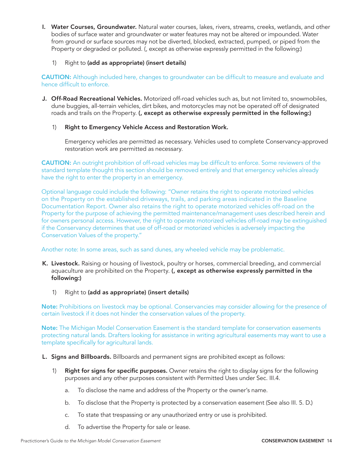- I. Water Courses, Groundwater. Natural water courses, lakes, rivers, streams, creeks, wetlands, and other bodies of surface water and groundwater or water features may not be altered or impounded. Water from ground or surface sources may not be diverted, blocked, extracted, pumped, or piped from the Property or degraded or polluted. (, except as otherwise expressly permitted in the following:)
	- 1) Right to (add as appropriate) (insert details)

CAUTION: Although included here, changes to groundwater can be difficult to measure and evaluate and hence difficult to enforce.

- J. Off-Road Recreational Vehicles. Motorized off-road vehicles such as, but not limited to, snowmobiles, dune buggies, all-terrain vehicles, dirt bikes, and motorcycles may not be operated off of designated roads and trails on the Property. (, except as otherwise expressly permitted in the following:)
	- 1) Right to Emergency Vehicle Access and Restoration Work.

Emergency vehicles are permitted as necessary. Vehicles used to complete Conservancy-approved restoration work are permitted as necessary.

CAUTION: An outright prohibition of off-road vehicles may be difficult to enforce. Some reviewers of the standard template thought this section should be removed entirely and that emergency vehicles already have the right to enter the property in an emergency.

Optional language could include the following: "Owner retains the right to operate motorized vehicles on the Property on the established driveways, trails, and parking areas indicated in the Baseline Documentation Report. Owner also retains the right to operate motorized vehicles off-road on the Property for the purpose of achieving the permitted maintenance/management uses described herein and for owners personal access. However, the right to operate motorized vehicles off-road may be extinguished if the Conservancy determines that use of off-road or motorized vehicles is adversely impacting the Conservation Values of the property."

Another note: In some areas, such as sand dunes, any wheeled vehicle may be problematic.

- K. Livestock. Raising or housing of livestock, poultry or horses, commercial breeding, and commercial aquaculture are prohibited on the Property. (, except as otherwise expressly permitted in the following:)
	- 1) Right to (add as appropriate) (insert details)

Note: Prohibitions on livestock may be optional. Conservancies may consider allowing for the presence of certain livestock if it does not hinder the conservation values of the property.

Note: The Michigan Model Conservation Easement is the standard template for conservation easements protecting natural lands. Drafters looking for assistance in writing agricultural easements may want to use a template specifically for agricultural lands.

- L. Signs and Billboards. Billboards and permanent signs are prohibited except as follows:
	- 1) Right for signs for specific purposes. Owner retains the right to display signs for the following purposes and any other purposes consistent with Permitted Uses under Sec. III.4.
		- a. To disclose the name and address of the Property or the owner's name.
		- b. To disclose that the Property is protected by a conservation easement (See also III. 5. D.)
		- c. To state that trespassing or any unauthorized entry or use is prohibited.
		- d. To advertise the Property for sale or lease.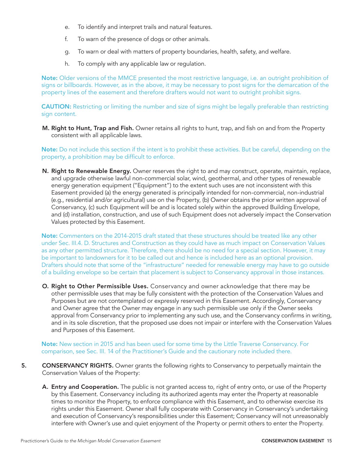- e. To identify and interpret trails and natural features.
- f. To warn of the presence of dogs or other animals.
- g. To warn or deal with matters of property boundaries, health, safety, and welfare.
- h. To comply with any applicable law or regulation.

Note: Older versions of the MMCE presented the most restrictive language, i.e. an outright prohibition of signs or billboards. However, as in the above, it may be necessary to post signs for the demarcation of the property lines of the easement and therefore drafters would not want to outright prohibit signs.

CAUTION: Restricting or limiting the number and size of signs might be legally preferable than restricting sign content.

M. Right to Hunt, Trap and Fish. Owner retains all rights to hunt, trap, and fish on and from the Property consistent with all applicable laws.

Note: Do not include this section if the intent is to prohibit these activities. But be careful, depending on the property, a prohibition may be difficult to enforce.

N. Right to Renewable Energy. Owner reserves the right to and may construct, operate, maintain, replace, and upgrade otherwise lawful non-commercial solar, wind, geothermal, and other types of renewable energy generation equipment ("Equipment") to the extent such uses are not inconsistent with this Easement provided (a) the energy generated is principally intended for non-commercial, non-industrial (e.g., residential and/or agricultural) use on the Property, (b) Owner obtains the prior written approval of Conservancy, (c) such Equipment will be and is located solely within the approved Building Envelope, and (d) installation, construction, and use of such Equipment does not adversely impact the Conservation Values protected by this Easement.

Note: Commenters on the 2014-2015 draft stated that these structures should be treated like any other under Sec. III.4. D. Structures and Construction as they could have as much impact on Conservation Values as any other permitted structure. Therefore, there should be no need for a special section. However, it may be important to landowners for it to be called out and hence is included here as an optional provision. Drafters should note that some of the "infrastructure" needed for renewable energy may have to go outside of a building envelope so be certain that placement is subject to Conservancy approval in those instances.

O. Right to Other Permissible Uses. Conservancy and owner acknowledge that there may be other permissible uses that may be fully consistent with the protection of the Conservation Values and Purposes but are not contemplated or expressly reserved in this Easement. Accordingly, Conservancy and Owner agree that the Owner may engage in any such permissible use only if the Owner seeks approval from Conservancy prior to implementing any such use, and the Conservancy confirms in writing, and in its sole discretion, that the proposed use does not impair or interfere with the Conservation Values and Purposes of this Easement.

Note: New section in 2015 and has been used for some time by the Little Traverse Conservancy. For comparison, see Sec. III. 14 of the Practitioner's Guide and the cautionary note included there.

- 5. CONSERVANCY RIGHTS. Owner grants the following rights to Conservancy to perpetually maintain the Conservation Values of the Property:
	- A. Entry and Cooperation. The public is not granted access to, right of entry onto, or use of the Property by this Easement. Conservancy including its authorized agents may enter the Property at reasonable times to monitor the Property, to enforce compliance with this Easement, and to otherwise exercise its rights under this Easement. Owner shall fully cooperate with Conservancy in Conservancy's undertaking and execution of Conservancy's responsibilities under this Easement; Conservancy will not unreasonably interfere with Owner's use and quiet enjoyment of the Property or permit others to enter the Property.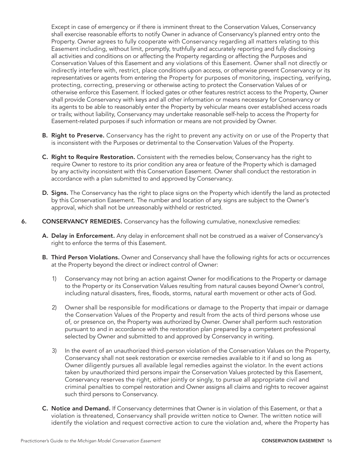Except in case of emergency or if there is imminent threat to the Conservation Values, Conservancy shall exercise reasonable efforts to notify Owner in advance of Conservancy's planned entry onto the Property. Owner agrees to fully cooperate with Conservancy regarding all matters relating to this Easement including, without limit, promptly, truthfully and accurately reporting and fully disclosing all activities and conditions on or affecting the Property regarding or affecting the Purposes and Conservation Values of this Easement and any violations of this Easement. Owner shall not directly or indirectly interfere with, restrict, place conditions upon access, or otherwise prevent Conservancy or its representatives or agents from entering the Property for purposes of monitoring, inspecting, verifying, protecting, correcting, preserving or otherwise acting to protect the Conservation Values of or otherwise enforce this Easement. If locked gates or other features restrict access to the Property, Owner shall provide Conservancy with keys and all other information or means necessary for Conservancy or its agents to be able to reasonably enter the Property by vehicular means over established access roads or trails; without liability, Conservancy may undertake reasonable self-help to access the Property for Easement-related purposes if such information or means are not provided by Owner.

- B. Right to Preserve. Conservancy has the right to prevent any activity on or use of the Property that is inconsistent with the Purposes or detrimental to the Conservation Values of the Property.
- C. Right to Require Restoration. Consistent with the remedies below, Conservancy has the right to require Owner to restore to its prior condition any area or feature of the Property which is damaged by any activity inconsistent with this Conservation Easement. Owner shall conduct the restoration in accordance with a plan submitted to and approved by Conservancy.
- D. Signs. The Conservancy has the right to place signs on the Property which identify the land as protected by this Conservation Easement. The number and location of any signs are subject to the Owner's approval, which shall not be unreasonably withheld or restricted.

#### **6.** CONSERVANCY REMEDIES. Conservancy has the following cumulative, nonexclusive remedies:

- A. Delay in Enforcement. Any delay in enforcement shall not be construed as a waiver of Conservancy's right to enforce the terms of this Easement.
- **B. Third Person Violations.** Owner and Conservancy shall have the following rights for acts or occurrences at the Property beyond the direct or indirect control of Owner:
	- 1) Conservancy may not bring an action against Owner for modifications to the Property or damage to the Property or its Conservation Values resulting from natural causes beyond Owner's control, including natural disasters, fires, floods, storms, natural earth movement or other acts of God.
	- 2) Owner shall be responsible for modifications or damage to the Property that impair or damage the Conservation Values of the Property and result from the acts of third persons whose use of, or presence on, the Property was authorized by Owner. Owner shall perform such restoration pursuant to and in accordance with the restoration plan prepared by a competent professional selected by Owner and submitted to and approved by Conservancy in writing.
	- 3) In the event of an unauthorized third-person violation of the Conservation Values on the Property, Conservancy shall not seek restoration or exercise remedies available to it if and so long as Owner diligently pursues all available legal remedies against the violator. In the event actions taken by unauthorized third persons impair the Conservation Values protected by this Easement, Conservancy reserves the right, either jointly or singly, to pursue all appropriate civil and criminal penalties to compel restoration and Owner assigns all claims and rights to recover against such third persons to Conservancy.
- C. Notice and Demand. If Conservancy determines that Owner is in violation of this Easement, or that a violation is threatened, Conservancy shall provide written notice to Owner. The written notice will identify the violation and request corrective action to cure the violation and, where the Property has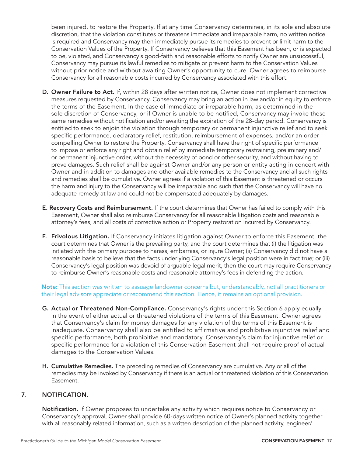been injured, to restore the Property. If at any time Conservancy determines, in its sole and absolute discretion, that the violation constitutes or threatens immediate and irreparable harm, no written notice is required and Conservancy may then immediately pursue its remedies to prevent or limit harm to the Conservation Values of the Property. If Conservancy believes that this Easement has been, or is expected to be, violated, and Conservancy's good-faith and reasonable efforts to notify Owner are unsuccessful, Conservancy may pursue its lawful remedies to mitigate or prevent harm to the Conservation Values without prior notice and without awaiting Owner's opportunity to cure. Owner agrees to reimburse Conservancy for all reasonable costs incurred by Conservancy associated with this effort.

- D. Owner Failure to Act. If, within 28 days after written notice, Owner does not implement corrective measures requested by Conservancy, Conservancy may bring an action in law and/or in equity to enforce the terms of the Easement. In the case of immediate or irreparable harm, as determined in the sole discretion of Conservancy, or if Owner is unable to be notified, Conservancy may invoke these same remedies without notification and/or awaiting the expiration of the 28-day period. Conservancy is entitled to seek to enjoin the violation through temporary or permanent injunctive relief and to seek specific performance, declaratory relief, restitution, reimbursement of expenses, and/or an order compelling Owner to restore the Property. Conservancy shall have the right of specific performance to impose or enforce any right and obtain relief by immediate temporary restraining, preliminary and/ or permanent injunctive order, without the necessity of bond or other security, and without having to prove damages. Such relief shall be against Owner and/or any person or entity acting in concert with Owner and in addition to damages and other available remedies to the Conservancy and all such rights and remedies shall be cumulative. Owner agrees if a violation of this Easement is threatened or occurs the harm and injury to the Conservancy will be irreparable and such that the Conservancy will have no adequate remedy at law and could not be compensated adequately by damages.
- E. Recovery Costs and Reimbursement. If the court determines that Owner has failed to comply with this Easement, Owner shall also reimburse Conservancy for all reasonable litigation costs and reasonable attorney's fees, and all costs of corrective action or Property restoration incurred by Conservancy.
- F. Frivolous Litigation. If Conservancy initiates litigation against Owner to enforce this Easement, the court determines that Owner is the prevailing party, and the court determines that (i) the litigation was initiated with the primary purpose to harass, embarrass, or injure Owner; (ii) Conservancy did not have a reasonable basis to believe that the facts underlying Conservancy's legal position were in fact true; or (iii) Conservancy's legal position was devoid of arguable legal merit, then the court may require Conservancy to reimburse Owner's reasonable costs and reasonable attorney's fees in defending the action.

Note: This section was written to assuage landowner concerns but, understandably, not all practitioners or their legal advisors appreciate or recommend this section. Hence, it remains an optional provision.

- G. Actual or Threatened Non-Compliance. Conservancy's rights under this Section 6 apply equally in the event of either actual or threatened violations of the terms of this Easement. Owner agrees that Conservancy's claim for money damages for any violation of the terms of this Easement is inadequate. Conservancy shall also be entitled to affirmative and prohibitive injunctive relief and specific performance, both prohibitive and mandatory. Conservancy's claim for injunctive relief or specific performance for a violation of this Conservation Easement shall not require proof of actual damages to the Conservation Values.
- H. Cumulative Remedies. The preceding remedies of Conservancy are cumulative. Any or all of the remedies may be invoked by Conservancy if there is an actual or threatened violation of this Conservation Easement.

#### 7. NOTIFICATION.

Notification. If Owner proposes to undertake any activity which requires notice to Conservancy or Conservancy's approval, Owner shall provide 60-days written notice of Owner's planned activity together with all reasonably related information, such as a written description of the planned activity, engineer/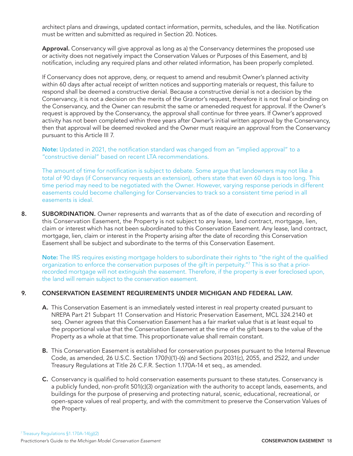architect plans and drawings, updated contact information, permits, schedules, and the like. Notification must be written and submitted as required in Section 20. Notices.

Approval. Conservancy will give approval as long as a) the Conservancy determines the proposed use or activity does not negatively impact the Conservation Values or Purposes of this Easement, and b) notification, including any required plans and other related information, has been properly completed.

If Conservancy does not approve, deny, or request to amend and resubmit Owner's planned activity within 60 days after actual receipt of written notices and supporting materials or request, this failure to respond shall be deemed a constructive denial. Because a constructive denial is not a decision by the Conservancy, it is not a decision on the merits of the Grantor's request, therefore it is not final or binding on the Conservancy, and the Owner can resubmit the same or ameneded request for approval. If the Owner's request is approved by the Conservancy, the approval shall continue for three years. If Owner's approved activity has not been completed within three years after Owner's initial written approval by the Conservancy, then that approval will be deemed revoked and the Owner must reaquire an approval from the Conservancy pursuant to this Article III 7.

Note: Updated in 2021, the notification standard was changed from an "implied approval" to a "constructive denial" based on recent LTA recommendations.

The amount of time for notification is subject to debate. Some argue that landowners may not like a total of 90 days (if Conservancy requests an extension), others state that even 60 days is too long. This time period may need to be negotiated with the Owner. However, varying response periods in different easements could become challenging for Conservancies to track so a consistent time period in all easements is ideal.

8. SUBORDINATION. Owner represents and warrants that as of the date of execution and recording of this Conservation Easement, the Property is not subject to any lease, land contract, mortgage, lien, claim or interest which has not been subordinated to this Conservation Easement. Any lease, land contract, mortgage, lien, claim or interest in the Property arising after the date of recording this Conservation Easement shall be subject and subordinate to the terms of this Conservation Easement.

Note: The IRS requires existing mortgage holders to subordinate their rights to "the right of the qualified organization to enforce the conservation purposes of the gift in perpetuity."7 This is so that a priorrecorded mortgage will not extinguish the easement. Therefore, if the property is ever foreclosed upon, the land will remain subject to the conservation easement.

#### 9. CONSERVATION EASEMENT REQUIREMENTS UNDER MICHIGAN AND FEDERAL LAW.

- A. This Conservation Easement is an immediately vested interest in real property created pursuant to NREPA Part 21 Subpart 11 Conservation and Historic Preservation Easement, MCL 324.2140 et seq. Owner agrees that this Conservation Easement has a fair market value that is at least equal to the proportional value that the Conservation Easement at the time of the gift bears to the value of the Property as a whole at that time. This proportionate value shall remain constant.
- **B.** This Conservation Easement is established for conservation purposes pursuant to the Internal Revenue Code, as amended, 26 U.S.C. Section 170(h)(1)-(6) and Sections 2031(c), 2055, and 2522, and under Treasury Regulations at Title 26 C.F.R. Section 1.170A-14 et seq., as amended.
- C. Conservancy is qualified to hold conservation easements pursuant to these statutes. Conservancy is a publicly funded, non-profit 501(c)(3) organization with the authority to accept lands, easements, and buildings for the purpose of preserving and protecting natural, scenic, educational, recreational, or open-space values of real property, and with the commitment to preserve the Conservation Values of the Property.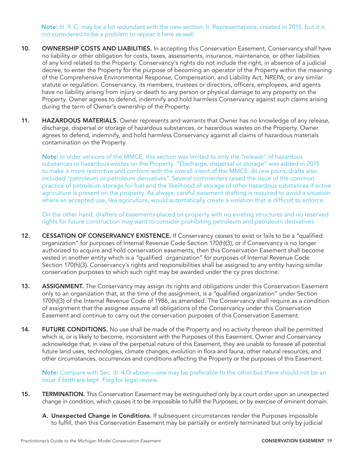Note: III. 9. C. may be a bit redundant with the new section, II. Representations, created in 2015, but it is not considered to be a problem to repeat it here as well.

- 10. OWNERSHIP COSTS AND LIABILITIES. In accepting this Conservation Easement, Conservancy shall have no liability or other obligation for costs, taxes, assessments, insurance, maintenance, or other liabilities of any kind related to the Property. Conservancy's rights do not include the right, in absence of a judicial decree, to enter the Property for the purpose of becoming an operator of the Property within the meaning of the Comprehensive Environmental Response, Compensation, and Liability Act, NREPA, or any similar statute or regulation. Conservancy, its members, trustees or directors, officers, employees, and agents have no liability arising from injury or death to any person or physical damage to any property on the Property. Owner agrees to defend, indemnify and hold harmless Conservancy against such claims arising during the term of Owner's ownership of the Property.
- 11. HAZARDOUS MATERIALS. Owner represents and warrants that Owner has no knowledge of any release, discharge, dispersal or storage of hazardous substances, or hazardous wastes on the Property. Owner agrees to defend, indemnify, and hold harmless Conservancy against all claims of hazardous materials contamination on the Property.

Note: In older versions of the MMCE, this section was limited to only the "release" of hazardous substances or hazardous wastes on the Property. "Discharge, dispersal or storage" was added in 2015 to make it more restrictive and conform with the overall intent of the MMCE. At one point, drafts also included "petroleum or petroleum derivatives". Several commenters raised the issue of the common practice of petroleum storage for fuel and the likelihood of storage of other hazardous substances if active agriculture is present on the property. As always, careful easement drafting is required to avoid a situation where an accepted use, like agriculture, would automatically create a violation that is difficult to enforce.

On the other hand, drafters of easements placed on property with no existing structures and no reserved rights for future construction may want to consider prohibiting petroleum and petroleum derivatives.

- 12. CESSATION OF CONSERVANCY EXISTENCE. If Conservancy ceases to exist or fails to be a "qualified organization" for purposes of Internal Revenue Code Section 170(h)(3), or if Conservancy is no longer authorized to acquire and hold conservation easements, then this Conservation Easement shall become vested in another entity which is a "qualified organization" for purposes of Internal Revenue Code Section 170(h)(3). Conservancy's rights and responsibilities shall be assigned to any entity having similar conservation purposes to which such right may be awarded under the cy pres doctrine.
- 13. ASSIGNMENT. The Conservancy may assign its rights and obligations under this Conservation Easement only to an organization that, at the time of the assignment, is a "qualified organization" under Section 170(h)(3) of the Internal Revenue Code of 1986, as amended. The Conservancy shall require as a condition of assignment that the assignee assume all obligations of the Conservancy under this Conservation Easement and continue to carry out the conservation purposes of this Conservation Easement.
- 14. FUTURE CONDITIONS. No use shall be made of the Property and no activity thereon shall be permitted which is, or is likely to become, inconsistent with the Purposes of this Easement. Owner and Conservancy acknowledge that, in view of the perpetual nature of this Easement, they are unable to foresee all potential future land uses, technologies, climate changes, evolution in flora and fauna, other natural resources, and other circumstances, occurrences and conditions affecting the Property or the purposes of this Easement.

Note: Compare with Sec. III. 4.O above—one may be preferable to the other but there should not be an issue if both are kept. Flag for legal review.

- 15. TERMINATION. This Conservation Easement may be extinguished only by a court order upon an unexpected change in condition, which causes it to be impossible to fulfill the Purposes, or by exercise of eminent domain.
	- A. Unexpected Change in Conditions. If subsequent circumstances render the Purposes impossible to fulfill, then this Conservation Easement may be partially or entirely terminated but only by judicial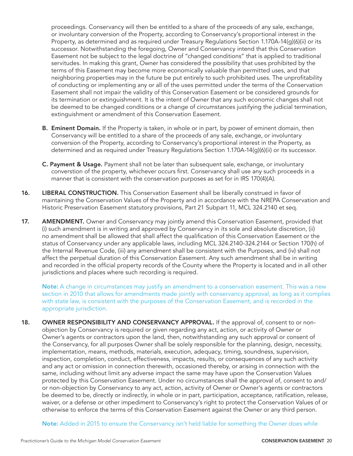proceedings. Conservancy will then be entitled to a share of the proceeds of any sale, exchange, or involuntary conversion of the Property, according to Conservancy's proportional interest in the Property, as determined and as required under Treasury Regulations Section 1.170A-14(g)(6)(ii) or its successor. Notwithstanding the foregoing, Owner and Conservancy intend that this Conservation Easement not be subject to the legal doctrine of "changed conditions" that is applied to traditional servitudes. In making this grant, Owner has considered the possibility that uses prohibited by the terms of this Easement may become more economically valuable than permitted uses, and that neighboring properties may in the future be put entirely to such prohibited uses. The unprofitability of conducting or implementing any or all of the uses permitted under the terms of the Conservation Easement shall not impair the validity of this Conservation Easement or be considered grounds for its termination or extinguishment. It is the intent of Owner that any such economic changes shall not be deemed to be changed conditions or a change of circumstances justifying the judicial termination, extinguishment or amendment of this Conservation Easement.

- B. Eminent Domain. If the Property is taken, in whole or in part, by power of eminent domain, then Conservancy will be entitled to a share of the proceeds of any sale, exchange, or involuntary conversion of the Property, according to Conservancy's proportional interest in the Property, as determined and as required under Treasury Regulations Section 1.170A-14(g)(6)(ii) or its successor.
- C. Payment & Usage. Payment shall not be later than subsequent sale, exchange, or involuntary converstion of the property, whichever occurs first. Conservancy shall use any such proceeds in a manner that is consistent with the conservation purposes as set for in IRS 170(4)(A).
- 16. LIBERAL CONSTRUCTION. This Conservation Easement shall be liberally construed in favor of maintaining the Conservation Values of the Property and in accordance with the NREPA Conservation and Historic Preservation Easement statutory provisions, Part 21 Subpart 11, MCL 324.2140 et seq.
- 17. AMENDMENT. Owner and Conservancy may jointly amend this Conservation Easement, provided that (i) such amendment is in writing and approved by Conservancy in its sole and absolute discretion, (ii) no amendment shall be allowed that shall affect the qualification of this Conservation Easement or the status of Conservancy under any applicable laws, including MCL 324.2140-324.2144 or Section 170(h) of the Internal Revenue Code, (iii) any amendment shall be consistent with the Purposes, and (iv) shall not affect the perpetual duration of this Conservation Easement. Any such amendment shall be in writing and recorded in the official property records of the County where the Property is located and in all other jurisdictions and places where such recording is required.

Note: A change in circumstances may justify an amendment to a conservation easement. This was a new section in 2010 that allows for amendments made jointly with conservancy approval, as long as it complies with state law, is consistent with the purposes of the Conservation Easement, and is recorded in the appropriate jurisdiction.

18. OWNER RESPONSIBILITY AND CONSERVANCY APPROVAL. If the approval of, consent to or nonobjection by Conservancy is required or given regarding any act, action, or activity of Owner or Owner's agents or contractors upon the land, then, notwithstanding any such approval or consent of the Conservancy, for all purposes Owner shall be solely responsible for the planning, design, necessity, implementation, means, methods, materials, execution, adequacy, timing, soundness, supervision, inspection, completion, conduct, effectiveness, impacts, results, or consequences of any such activity and any act or omission in connection therewith, occasioned thereby, or arising in connection with the same, including without limit any adverse impact the same may have upon the Conservation Values protected by this Conservation Easement. Under no circumstances shall the approval of, consent to and/ or non-objection by Conservancy to any act, action, activity of Owner or Owner's agents or contractors be deemed to be, directly or indirectly, in whole or in part, participation, acceptance, ratification, release, waiver, or a defense or other impediment to Conservancy's right to protect the Conservation Values of or otherwise to enforce the terms of this Conservation Easement against the Owner or any third person.

Note: Added in 2015 to ensure the Conservancy isn't held liable for something the Owner does while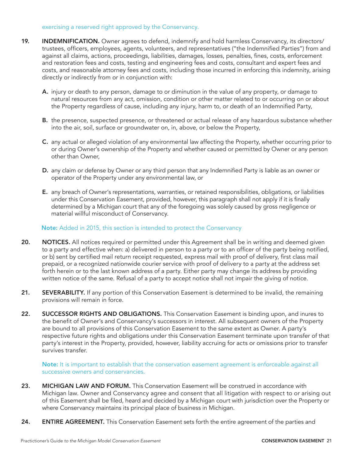#### exercising a reserved right approved by the Conservancy.

- 19. **INDEMNIFICATION.** Owner agrees to defend, indemnify and hold harmless Conservancy, its directors/ trustees, officers, employees, agents, volunteers, and representatives ("the Indemnified Parties") from and against all claims, actions, proceedings, liabilities, damages, losses, penalties, fines, costs, enforcement and restoration fees and costs, testing and engineering fees and costs, consultant and expert fees and costs, and reasonable attorney fees and costs, including those incurred in enforcing this indemnity, arising directly or indirectly from or in conjunction with:
	- A. injury or death to any person, damage to or diminution in the value of any property, or damage to natural resources from any act, omission, condition or other matter related to or occurring on or about the Property regardless of cause, including any injury, harm to, or death of an Indemnified Party,
	- B. the presence, suspected presence, or threatened or actual release of any hazardous substance whether into the air, soil, surface or groundwater on, in, above, or below the Property,
	- C. any actual or alleged violation of any environmental law affecting the Property, whether occurring prior to or during Owner's ownership of the Property and whether caused or permitted by Owner or any person other than Owner,
	- D. any claim or defense by Owner or any third person that any Indemnified Party is liable as an owner or operator of the Property under any environmental law, or
	- E. any breach of Owner's representations, warranties, or retained responsibilities, obligations, or liabilities under this Conservation Easement, provided, however, this paragraph shall not apply if it is finally determined by a Michigan court that any of the foregoing was solely caused by gross negligence or material willful misconduct of Conservancy.

#### Note: Added in 2015, this section is intended to protect the Conservancy

- 20. NOTICES. All notices required or permitted under this Agreement shall be in writing and deemed given to a party and effective when: a) delivered in person to a party or to an officer of the party being notified, or b) sent by certified mail return receipt requested, express mail with proof of delivery, first class mail prepaid, or a recognized nationwide courier service with proof of delivery to a party at the address set forth herein or to the last known address of a party. Either party may change its address by providing written notice of the same. Refusal of a party to accept notice shall not impair the giving of notice.
- 21. SEVERABILITY. If any portion of this Conservation Easement is determined to be invalid, the remaining provisions will remain in force.
- 22. SUCCESSOR RIGHTS AND OBLIGATIONS. This Conservation Easement is binding upon, and inures to the benefit of Owner's and Conservancy's successors in interest. All subsequent owners of the Property are bound to all provisions of this Conservation Easement to the same extent as Owner. A party's respective future rights and obligations under this Conservation Easement terminate upon transfer of that party's interest in the Property, provided, however, liability accruing for acts or omissions prior to transfer survives transfer.

Note: It is important to establish that the conservation easement agreement is enforceable against all successive owners and conservancies.

- 23. MICHIGAN LAW AND FORUM. This Conservation Easement will be construed in accordance with Michigan law. Owner and Conservancy agree and consent that all litigation with respect to or arising out of this Easement shall be filed, heard and decided by a Michigan court with jurisdiction over the Property or where Conservancy maintains its principal place of business in Michigan.
- 24. ENTIRE AGREEMENT. This Conservation Easement sets forth the entire agreement of the parties and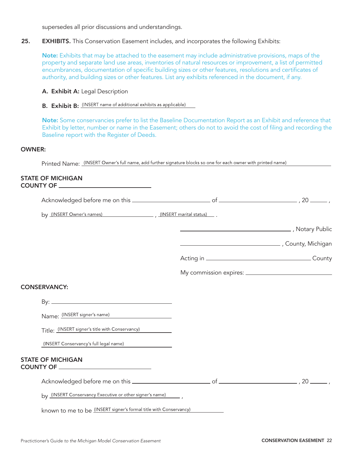supersedes all prior discussions and understandings.

25. EXHIBITS. This Conservation Easement includes, and incorporates the following Exhibits:

Note: Exhibits that may be attached to the easement may include administrative provisions, maps of the property and separate land use areas, inventories of natural resources or improvement, a list of permitted encumbrances, documentation of specific building sizes or other features, resolutions and certificates of authority, and building sizes or other features. List any exhibits referenced in the document, if any.

- A. Exhibit A: Legal Description
- **B.** Exhibit B: (INSERT name of additional exhibits as applicable)

Note: Some conservancies prefer to list the Baseline Documentation Report as an Exhibit and reference that Exhibit by letter, number or name in the Easement; others do not to avoid the cost of filing and recording the Baseline report with the Register of Deeds.

#### OWNER:

Printed Name: (INSERT Owner's full name, add further signature blocks so one for each owner with printed name)

| <b>STATE OF MICHIGAN</b>                                          |  |
|-------------------------------------------------------------------|--|
|                                                                   |  |
| by (INSERT Owner's names) (INSERT marital status) .               |  |
|                                                                   |  |
|                                                                   |  |
|                                                                   |  |
|                                                                   |  |
| <b>CONSERVANCY:</b>                                               |  |
|                                                                   |  |
| Name: (INSERT signer's name)                                      |  |
| Title: (INSERT signer's title with Conservancy)                   |  |
|                                                                   |  |
| <b>STATE OF MICHIGAN</b>                                          |  |
|                                                                   |  |
| by (INSERT Conservancy Executive or other signer's name)          |  |
| known to me to be (INSERT signer's formal title with Conservancy) |  |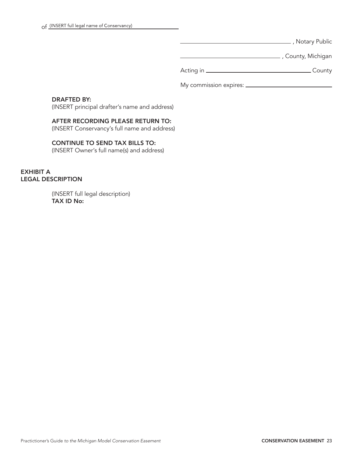#### , Notary Public

, County, Michigan

Acting in County

My commission expires:

#### DRAFTED BY:

(INSERT principal drafter's name and address)

#### AFTER RECORDING PLEASE RETURN TO:

(INSERT Conservancy's full name and address)

#### CONTINUE TO SEND TAX BILLS TO:

(INSERT Owner's full name(s) and address)

EXHIBIT A LEGAL DESCRIPTION

> (INSERT full legal description) TAX ID No: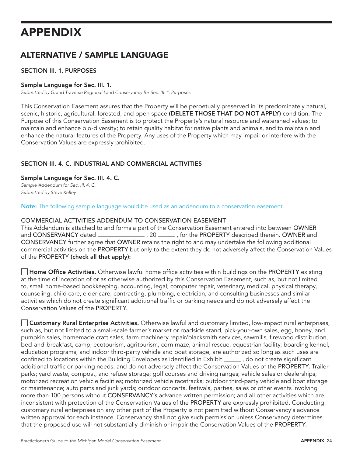# APPENDIX

## ALTERNATIVE / SAMPLE LANGUAGE

#### SECTION III. 1. PURPOSES

#### Sample Language for Sec. III. 1.

*Submitted by Grand Traverse Regional Land Conservancy for Sec. III. 1: Purposes*

This Conservation Easement assures that the Property will be perpetually preserved in its predominately natural, scenic, historic, agricultural, forested, and open space (DELETE THOSE THAT DO NOT APPLY) condition. The Purpose of this Conservation Easement is to protect the Property's natural resource and watershed values; to maintain and enhance bio-diversity; to retain quality habitat for native plants and animals, and to maintain and enhance the natural features of the Property. Any uses of the Property which may impair or interfere with the Conservation Values are expressly prohibited.

#### SECTION III. 4. C. INDUSTRIAL AND COMMERCIAL ACTIVITIES

#### Sample Language for Sec. III. 4. C.

*Sample Addendum for Sec. III. 4. C. Submitted by Steve Kelley*

Note: The following sample language would be used as an addendum to a conservation easement.

#### COMMERCIAL ACTIVITIES ADDENDUM TO CONSERVATION EASEMENT

This Addendum is attached to and forms a part of the Conservation Easement entered into between OWNER and CONSERVANCY dated , 20 , for the PROPERTY described therein. OWNER and CONSERVANCY further agree that OWNER retains the right to and may undertake the following additional commercial activities on the PROPERTY but only to the extent they do not adversely affect the Conservation Values of the PROPERTY (check all that apply):

 $\Box$  Home Office Activities. Otherwise lawful home office activities within buildings on the PROPERTY existing at the time of inception of or as otherwise authorized by this Conservation Easement, such as, but not limited to, small home-based bookkeeping, accounting, legal, computer repair, veterinary, medical, physical therapy, counseling, child care, elder care, contracting, plumbing, electrician, and consulting businesses and similar activities which do not create significant additional traffic or parking needs and do not adversely affect the Conservation Values of the PROPERTY.

**Customary Rural Enterprise Activities.** Otherwise lawful and customary limited, low-impact rural enterprises, such as, but not limited to a small-scale farmer's market or roadside stand, pick-your-own sales, egg, honey, and pumpkin sales, homemade craft sales, farm machinery repair/blacksmith services, sawmills, firewood distribution, bed-and-breakfast, camp, ecotourism, agritourism, corn maze, animal rescue, equestrian facility, boarding kennel, education programs, and indoor third-party vehicle and boat storage, are authorized so long as such uses are confined to locations within the Building Envelopes as identified in Exhibit  $\_\_\_\_$ , do not create significant additional traffic or parking needs, and do not adversely affect the Conservation Values of the PROPERTY. Trailer parks; yard waste, compost, and refuse storage; golf courses and driving ranges; vehicle sales or dealerships; motorized recreation vehicle facilities; motorized vehicle racetracks; outdoor third-party vehicle and boat storage or maintenance; auto parts and junk yards; outdoor concerts, festivals, parties, sales or other events involving more than 100 persons without CONSERVANCY's advance written permission; and all other activities which are inconsistent with protection of the Conservation Values of the PROPERTY are expressly prohibited. Conducting customary rural enterprises on any other part of the Property is not permitted without Conservancy's advance written approval for each instance. Conservancy shall not give such permission unless Conservancy determines that the proposed use will not substantially diminish or impair the Conservation Values of the PROPERTY.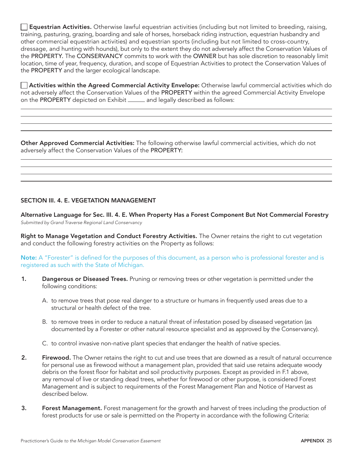**Equestrian Activities.** Otherwise lawful equestrian activities (including but not limited to breeding, raising, training, pasturing, grazing, boarding and sale of horses, horseback riding instruction, equestrian husbandry and other commercial equestrian activities) and equestrian sports (including but not limited to cross-country, dressage, and hunting with hounds), but only to the extent they do not adversely affect the Conservation Values of the PROPERTY. The CONSERVANCY commits to work with the OWNER but has sole discretion to reasonably limit location, time of year, frequency, duration, and scope of Equestrian Activities to protect the Conservation Values of the PROPERTY and the larger ecological landscape.

 Activities within the Agreed Commercial Activity Envelope: Otherwise lawful commercial activities which do not adversely affect the Conservation Values of the PROPERTY within the agreed Commercial Activity Envelope on the PROPERTY depicted on Exhibit \_\_\_\_\_ and legally described as follows:

Other Approved Commercial Activities: The following otherwise lawful commercial activities, which do not adversely affect the Conservation Values of the PROPERTY:

#### SECTION III. 4. E. VEGETATION MANAGEMENT

Alternative Language for Sec. III. 4. E. When Property Has a Forest Component But Not Commercial Forestry *Submitted by Grand Traverse Regional Land Conservancy*

Right to Manage Vegetation and Conduct Forestry Activities. The Owner retains the right to cut vegetation and conduct the following forestry activities on the Property as follows:

Note: A "Forester" is defined for the purposes of this document, as a person who is professional forester and is registered as such with the State of Michigan.

- 1. Dangerous or Diseased Trees. Pruning or removing trees or other vegetation is permitted under the following conditions:
	- A. to remove trees that pose real danger to a structure or humans in frequently used areas due to a structural or health defect of the tree.
	- B. to remove trees in order to reduce a natural threat of infestation posed by diseased vegetation (as documented by a Forester or other natural resource specialist and as approved by the Conservancy).
	- C. to control invasive non-native plant species that endanger the health of native species.
- 2. Firewood. The Owner retains the right to cut and use trees that are downed as a result of natural occurrence for personal use as firewood without a management plan, provided that said use retains adequate woody debris on the forest floor for habitat and soil productivity purposes. Except as provided in F.1 above, any removal of live or standing dead trees, whether for firewood or other purpose, is considered Forest Management and is subject to requirements of the Forest Management Plan and Notice of Harvest as described below.
- 3. Forest Management. Forest management for the growth and harvest of trees including the production of forest products for use or sale is permitted on the Property in accordance with the following Criteria: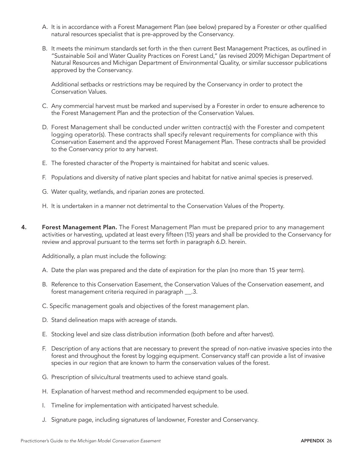- A. It is in accordance with a Forest Management Plan (see below) prepared by a Forester or other qualified natural resources specialist that is pre-approved by the Conservancy.
- B. It meets the minimum standards set forth in the then current Best Management Practices, as outlined in "Sustainable Soil and Water Quality Practices on Forest Land," (as revised 2009) Michigan Department of Natural Resources and Michigan Department of Environmental Quality, or similar successor publications approved by the Conservancy.

Additional setbacks or restrictions may be required by the Conservancy in order to protect the Conservation Values.

- C. Any commercial harvest must be marked and supervised by a Forester in order to ensure adherence to the Forest Management Plan and the protection of the Conservation Values.
- D. Forest Management shall be conducted under written contract(s) with the Forester and competent logging operator(s). These contracts shall specify relevant requirements for compliance with this Conservation Easement and the approved Forest Management Plan. These contracts shall be provided to the Conservancy prior to any harvest.
- E. The forested character of the Property is maintained for habitat and scenic values.
- F. Populations and diversity of native plant species and habitat for native animal species is preserved.
- G. Water quality, wetlands, and riparian zones are protected.
- H. It is undertaken in a manner not detrimental to the Conservation Values of the Property.
- 4. Forest Management Plan. The Forest Management Plan must be prepared prior to any management activities or harvesting, updated at least every fifteen (15) years and shall be provided to the Conservancy for review and approval pursuant to the terms set forth in paragraph 6.D. herein.

Additionally, a plan must include the following:

- A. Date the plan was prepared and the date of expiration for the plan (no more than 15 year term).
- B. Reference to this Conservation Easement, the Conservation Values of the Conservation easement, and forest management criteria required in paragraph \_\_.3.
- C. Specific management goals and objectives of the forest management plan.
- D. Stand delineation maps with acreage of stands.
- E. Stocking level and size class distribution information (both before and after harvest).
- F. Description of any actions that are necessary to prevent the spread of non-native invasive species into the forest and throughout the forest by logging equipment. Conservancy staff can provide a list of invasive species in our region that are known to harm the conservation values of the forest.
- G. Prescription of silvicultural treatments used to achieve stand goals.
- H. Explanation of harvest method and recommended equipment to be used.
- I. Timeline for implementation with anticipated harvest schedule.
- J. Signature page, including signatures of landowner, Forester and Conservancy.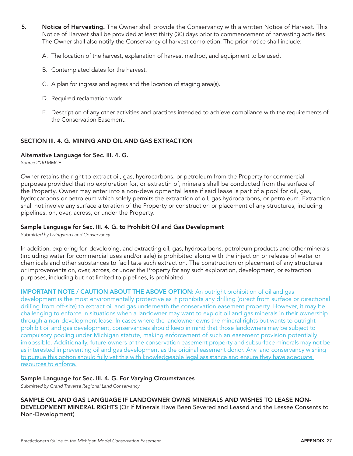- 5. Notice of Harvesting. The Owner shall provide the Conservancy with a written Notice of Harvest. This Notice of Harvest shall be provided at least thirty (30) days prior to commencement of harvesting activities. The Owner shall also notify the Conservancy of harvest completion. The prior notice shall include:
	- A. The location of the harvest, explanation of harvest method, and equipment to be used.
	- B. Contemplated dates for the harvest.
	- C. A plan for ingress and egress and the location of staging area(s).
	- D. Required reclamation work.
	- E. Description of any other activities and practices intended to achieve compliance with the requirements of the Conservation Easement.

#### SECTION III. 4. G. MINING AND OIL AND GAS EXTRACTION

#### Alternative Language for Sec. III. 4. G.

*Source 2010 MMCE*

Owner retains the right to extract oil, gas, hydrocarbons, or petroleum from the Property for commercial purposes provided that no exploration for, or extractin of, minerals shall be conducted from the surface of the Property. Owner may enter into a non-developmental lease if said lease is part of a pool for oil, gas, hydrocarbons or petroleum which solely permits the extraction of oil, gas hydrocarbons, or petroleum. Extraction shall not involve any surface alteration of the Property or construction or placement of any structures, including pipelines, on, over, across, or under the Property.

#### Sample Language for Sec. III. 4. G. to Prohibit Oil and Gas Development

*Submitted by Livingston Land Conservancy* 

In addition, exploring for, developing, and extracting oil, gas, hydrocarbons, petroleum products and other minerals (including water for commercial uses and/or sale) is prohibited along with the injection or release of water or chemicals and other substances to facilitate such extraction. The construction or placement of any structures or improvements on, over, across, or under the Property for any such exploration, development, or extraction purposes, including but not limited to pipelines, is prohibited.

#### IMPORTANT NOTE / CAUTION ABOUT THE ABOVE OPTION: An outright prohibition of oil and gas

development is the most environmentally protective as it prohibits any drilling (direct from surface or directional drilling from off-site) to extract oil and gas underneath the conservation easement property. However, it may be challenging to enforce in situations when a landowner may want to exploit oil and gas minerals in their ownership through a non-development lease. In cases where the landowner owns the mineral rights but wants to outright prohibit oil and gas development, conservancies should keep in mind that those landowners may be subject to compulsory pooling under Michigan statute, making enforcement of such an easement provision potentially impossible. Additionally, future owners of the conservation easement property and subsurface minerals may not be as interested in preventing oil and gas development as the original easement donor. Any land conservancy wishing to pursue this option should fully vet this with knowledgeable legal assistance and ensure they have adequate resources to enforce.

#### Sample Language for Sec. III. 4. G. For Varying Circumstances

*Submitted by Grand Traverse Regional Land Conservancy*

SAMPLE OIL AND GAS LANGUAGE IF LANDOWNER OWNS MINERALS AND WISHES TO LEASE NON-DEVELOPMENT MINERAL RIGHTS (Or if Minerals Have Been Severed and Leased and the Lessee Consents to Non-Development)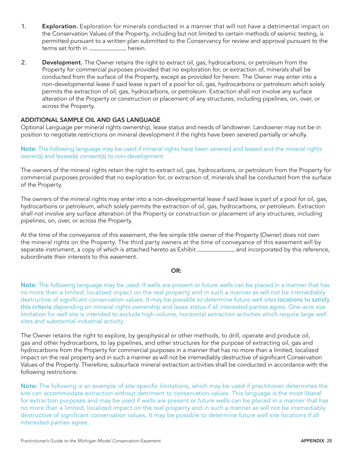- 1. Exploration. Exploration for minerals conducted in a manner that will not have a detrimental impact on the Conservation Values of the Property, including but not limited to certain methods of seismic testing, is permitted pursuant to a written plan submitted to the Conservancy for review and approval pursuant to the terms set forth in **herein** herein.
- 2. Development. The Owner retains the right to extract oil, gas, hydrocarbons, or petroleum from the Property for commercial purposes provided that no exploration for, or extraction of, minerals shall be conducted from the surface of the Property, except as provided for herein. The Owner may enter into a non-developmental lease if said lease is part of a pool for oil, gas, hydrocarbons or petroleum which solely permits the extraction of oil, gas, hydrocarbons, or petroleum. Extraction shall not involve any surface alteration of the Property or construction or placement of any structures, including pipelines, on, over, or across the Property.

#### ADDITIONAL SAMPLE OIL AND GAS LANGUAGE

Optional Language per mineral rights ownership, lease status and needs of landowner. Landowner may not be in position to negotiate restrictions on mineral development if the rights have been severed partially or wholly.

Note: The following language may be used if mineral rights have been severed and leased and the mineral rights owner(s) and lessee(s) consent(s) to non-development:

The owners of the mineral rights retain the right to extract oil, gas, hydrocarbons, or petroleum from the Property for commercial purposes provided that no exploration for, or extraction of, minerals shall be conducted from the surface of the Property.

The owners of the mineral rights may enter into a non-developmental lease if said lease is part of a pool for oil, gas, hydrocarbons or petroleum, which solely permits the extraction of oil, gas, hydrocarbons, or petroleum. Extraction shall not involve any surface alteration of the Property or construction or placement of any structures, including pipelines, on, over, or across the Property.

At the time of the conveyance of this easement, the fee simple title owner of the Property (Owner) does not own the mineral rights on the Property. The third party owners at the time of conveyance of this easement will by separate instrument, a copy of which is attached hereto as Exhibit \_\_\_\_\_\_\_\_\_\_\_\_\_ and incorporated by this reference, subordinate their interests to this easement.

#### OR:

Note: The following language may be used: If wells are present or future wells can be placed in a manner that has no more than a limited, localized impact on the real property and in such a manner as will not be irremediably destructive of significant conservation values. It may be possible to determine future well sites locations to satisfy this criteria depending on mineral rights ownership and lease status if all interested parties agree. One-acre size limitation for well site is intended to exclude high-volume, horizontal extraction activities which require large well sites and substantial industrial activity.

The Owner retains the right to explore, by geophysical or other methods, to drill, operate and produce oil, gas and other hydrocarbons, to lay pipelines, and other structures for the purpose of extracting oil, gas and hydrocarbons from the Property for commercial purposes in a manner that has no more than a limited, localized impact on the real property and in such a manner as will not be irremediably destructive of significant Conservation Values of the Property. Therefore, subsurface mineral extraction activities shall be conducted in accordance with the following restrictions:

Note: The following is an example of site-specific limitations, which may be used if practitioner determines the site can accommodate extraction without detriment to conservation values. This language is the most liberal for extraction purposes and may be used if wells are present or future wells can be placed in a manner that has no more than a limited, localized impact on the real property and in such a manner as will not be irremediably destructive of significant conservation values. It may be possible to determine future well site locations if all interested parties agree.